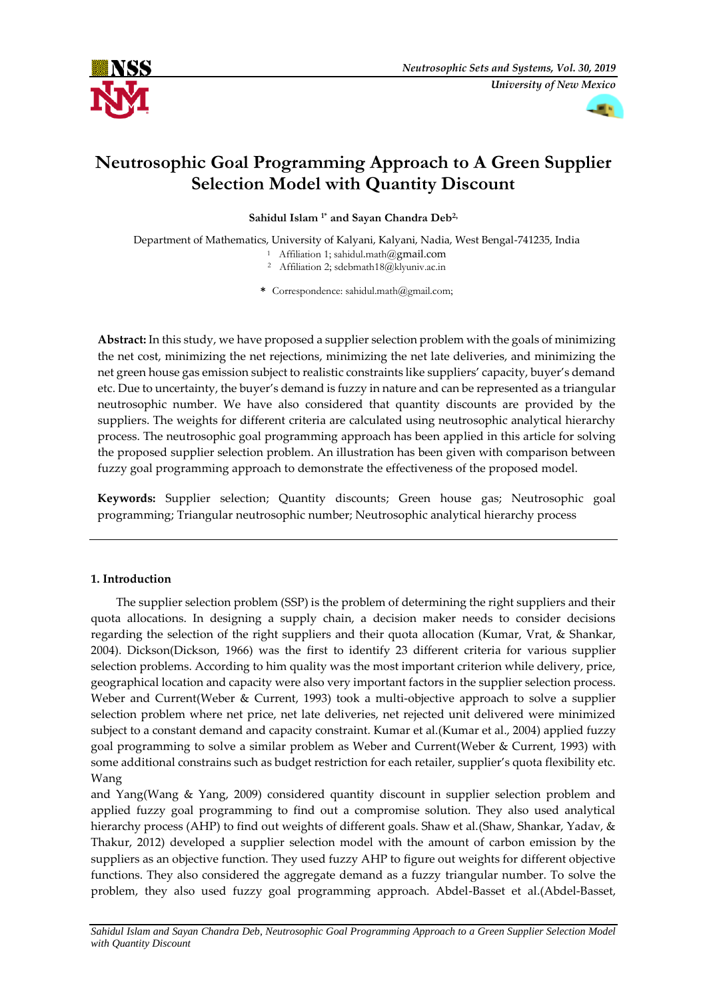



# **Neutrosophic Goal Programming Approach to A Green Supplier Selection Model with Quantity Discount**

**Sahidul Islam <sup>1</sup>\* and Sayan Chandra Deb2,**

Department of Mathematics, University of Kalyani, Kalyani, Nadia, West Bengal-741235, India

- <sup>1</sup> Affiliation 1; sahidul.math@gmail.com
- <sup>2</sup> Affiliation 2; sdebmath18@klyuniv.ac.in

**\*** Correspondence: sahidul.math@gmail.com;

**Abstract:** In this study, we have proposed a supplier selection problem with the goals of minimizing the net cost, minimizing the net rejections, minimizing the net late deliveries, and minimizing the net green house gas emission subject to realistic constraints like suppliers' capacity, buyer's demand etc. Due to uncertainty, the buyer's demand is fuzzy in nature and can be represented as a triangular neutrosophic number. We have also considered that quantity discounts are provided by the suppliers. The weights for different criteria are calculated using neutrosophic analytical hierarchy process. The neutrosophic goal programming approach has been applied in this article for solving the proposed supplier selection problem. An illustration has been given with comparison between fuzzy goal programming approach to demonstrate the effectiveness of the proposed model.

**Keywords:** Supplier selection; Quantity discounts; Green house gas; Neutrosophic goal programming; Triangular neutrosophic number; Neutrosophic analytical hierarchy process

# **1. Introduction**

The supplier selection problem (SSP) is the problem of determining the right suppliers and their quota allocations. In designing a supply chain, a decision maker needs to consider decisions regarding the selection of the right suppliers and their quota allocation (Kumar, Vrat, & Shankar, 2004). Dickson(Dickson, 1966) was the first to identify 23 different criteria for various supplier selection problems. According to him quality was the most important criterion while delivery, price, geographical location and capacity were also very important factors in the supplier selection process. Weber and Current(Weber & Current, 1993) took a multi-objective approach to solve a supplier selection problem where net price, net late deliveries, net rejected unit delivered were minimized subject to a constant demand and capacity constraint. Kumar et al.(Kumar et al., 2004) applied fuzzy goal programming to solve a similar problem as Weber and Current(Weber & Current, 1993) with some additional constrains such as budget restriction for each retailer, supplier's quota flexibility etc. Wang

and Yang(Wang & Yang, 2009) considered quantity discount in supplier selection problem and applied fuzzy goal programming to find out a compromise solution. They also used analytical hierarchy process (AHP) to find out weights of different goals. Shaw et al. (Shaw, Shankar, Yadav, & Thakur, 2012) developed a supplier selection model with the amount of carbon emission by the suppliers as an objective function. They used fuzzy AHP to figure out weights for different objective functions. They also considered the aggregate demand as a fuzzy triangular number. To solve the problem, they also used fuzzy goal programming approach. Abdel-Basset et al.(Abdel-Basset,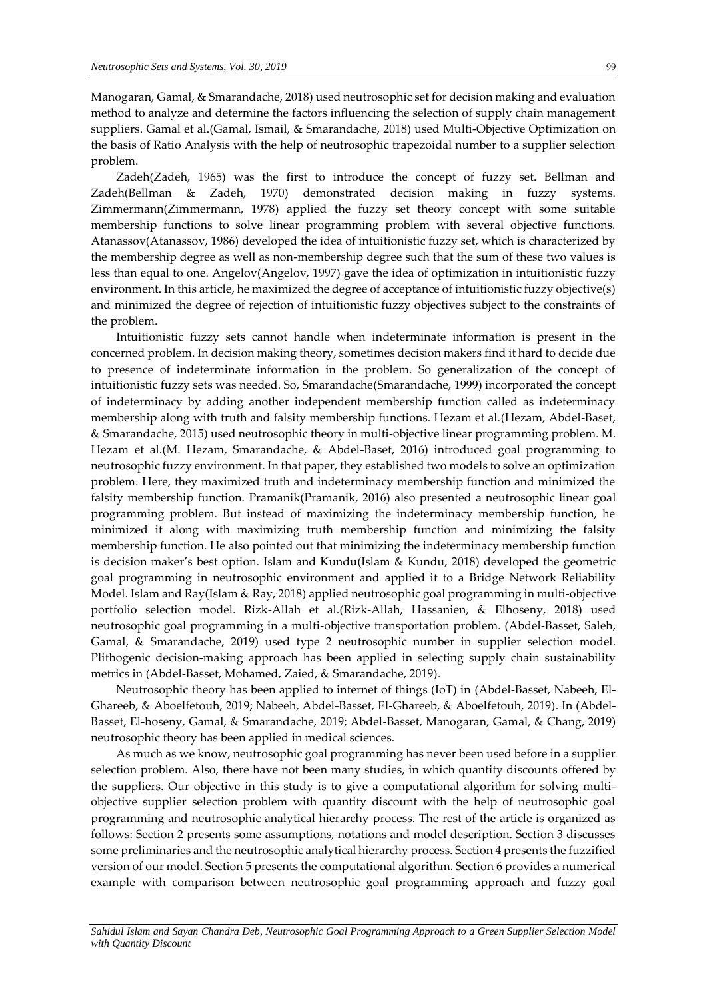Manogaran, Gamal, & Smarandache, 2018) used neutrosophic set for decision making and evaluation method to analyze and determine the factors influencing the selection of supply chain management suppliers. Gamal et al.(Gamal, Ismail, & Smarandache, 2018) used Multi-Objective Optimization on the basis of Ratio Analysis with the help of neutrosophic trapezoidal number to a supplier selection problem.

Zadeh(Zadeh, 1965) was the first to introduce the concept of fuzzy set. Bellman and Zadeh(Bellman & Zadeh, 1970) demonstrated decision making in fuzzy systems. Zimmermann(Zimmermann, 1978) applied the fuzzy set theory concept with some suitable membership functions to solve linear programming problem with several objective functions. Atanassov(Atanassov, 1986) developed the idea of intuitionistic fuzzy set, which is characterized by the membership degree as well as non-membership degree such that the sum of these two values is less than equal to one. Angelov(Angelov, 1997) gave the idea of optimization in intuitionistic fuzzy environment. In this article, he maximized the degree of acceptance of intuitionistic fuzzy objective(s) and minimized the degree of rejection of intuitionistic fuzzy objectives subject to the constraints of the problem.

Intuitionistic fuzzy sets cannot handle when indeterminate information is present in the concerned problem. In decision making theory, sometimes decision makers find it hard to decide due to presence of indeterminate information in the problem. So generalization of the concept of intuitionistic fuzzy sets was needed. So, Smarandache(Smarandache, 1999) incorporated the concept of indeterminacy by adding another independent membership function called as indeterminacy membership along with truth and falsity membership functions. Hezam et al.(Hezam, Abdel-Baset, & Smarandache, 2015) used neutrosophic theory in multi-objective linear programming problem. M. Hezam et al.(M. Hezam, Smarandache, & Abdel-Baset, 2016) introduced goal programming to neutrosophic fuzzy environment. In that paper, they established two models to solve an optimization problem. Here, they maximized truth and indeterminacy membership function and minimized the falsity membership function. Pramanik(Pramanik, 2016) also presented a neutrosophic linear goal programming problem. But instead of maximizing the indeterminacy membership function, he minimized it along with maximizing truth membership function and minimizing the falsity membership function. He also pointed out that minimizing the indeterminacy membership function is decision maker's best option. Islam and Kundu(Islam & Kundu, 2018) developed the geometric goal programming in neutrosophic environment and applied it to a Bridge Network Reliability Model. Islam and Ray(Islam & Ray, 2018) applied neutrosophic goal programming in multi-objective portfolio selection model. Rizk-Allah et al.(Rizk-Allah, Hassanien, & Elhoseny, 2018) used neutrosophic goal programming in a multi-objective transportation problem. (Abdel-Basset, Saleh, Gamal, & Smarandache, 2019) used type 2 neutrosophic number in supplier selection model. Plithogenic decision-making approach has been applied in selecting supply chain sustainability metrics in (Abdel-Basset, Mohamed, Zaied, & Smarandache, 2019).

Neutrosophic theory has been applied to internet of things (IoT) in (Abdel-Basset, Nabeeh, El-Ghareeb, & Aboelfetouh, 2019; Nabeeh, Abdel-Basset, El-Ghareeb, & Aboelfetouh, 2019). In (Abdel-Basset, El-hoseny, Gamal, & Smarandache, 2019; Abdel-Basset, Manogaran, Gamal, & Chang, 2019) neutrosophic theory has been applied in medical sciences.

As much as we know, neutrosophic goal programming has never been used before in a supplier selection problem. Also, there have not been many studies, in which quantity discounts offered by the suppliers. Our objective in this study is to give a computational algorithm for solving multiobjective supplier selection problem with quantity discount with the help of neutrosophic goal programming and neutrosophic analytical hierarchy process. The rest of the article is organized as follows: Section 2 presents some assumptions, notations and model description. Section 3 discusses some preliminaries and the neutrosophic analytical hierarchy process. Section 4 presents the fuzzified version of our model. Section 5 presents the computational algorithm. Section 6 provides a numerical example with comparison between neutrosophic goal programming approach and fuzzy goal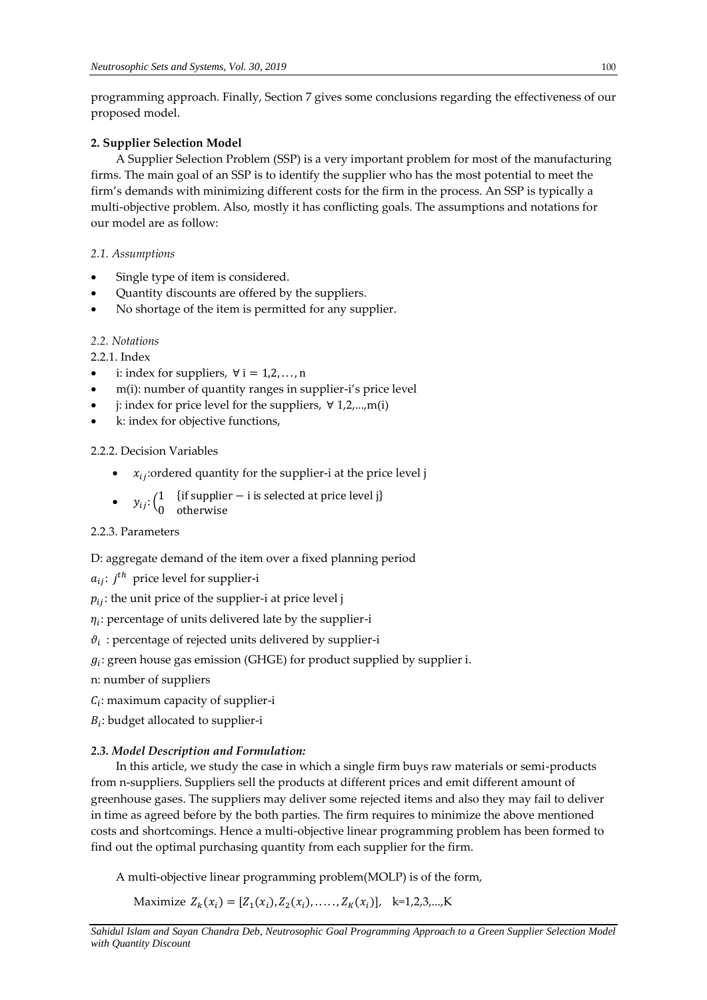programming approach. Finally, Section 7 gives some conclusions regarding the effectiveness of our proposed model.

# **2. Supplier Selection Model**

A Supplier Selection Problem (SSP) is a very important problem for most of the manufacturing firms. The main goal of an SSP is to identify the supplier who has the most potential to meet the firm's demands with minimizing different costs for the firm in the process. An SSP is typically a multi-objective problem. Also, mostly it has conflicting goals. The assumptions and notations for our model are as follow:

*2.1. Assumptions*

- Single type of item is considered.
- Quantity discounts are offered by the suppliers.
- No shortage of the item is permitted for any supplier.

# *2.2. Notations*

2.2.1. Index

- i: index for suppliers,  $\forall$  i = 1,2,..., n
- m(i): number of quantity ranges in supplier-i's price level
- j: index for price level for the suppliers,  $∀ 1,2,...,m(i)$
- k: index for objective functions,

2.2.2. Decision Variables

- $x_{ij}$ :ordered quantity for the supplier-i at the price level j
- $y_{ij}$ :  $\begin{pmatrix} 1 & \text{if supplier} i \text{ is selected at price level } j \end{pmatrix}$

0 otherwise

# 2.2.3. Parameters

D: aggregate demand of the item over a fixed planning period

 $a_{ij}$ :  $j^{th}$  price level for supplier-i

 $p_{ij}$ : the unit price of the supplier-i at price level j

 $\eta_i$ : percentage of units delivered late by the supplier-i

 $\vartheta_i$ : percentage of rejected units delivered by supplier-i

- $g_i$ : green house gas emission (GHGE) for product supplied by supplier i.
- n: number of suppliers
- $C_i$ : maximum capacity of supplier-i

 $B_i$ : budget allocated to supplier-i

# *2.3. Model Description and Formulation:*

In this article, we study the case in which a single firm buys raw materials or semi-products from n-suppliers. Suppliers sell the products at different prices and emit different amount of greenhouse gases. The suppliers may deliver some rejected items and also they may fail to deliver in time as agreed before by the both parties. The firm requires to minimize the above mentioned costs and shortcomings. Hence a multi-objective linear programming problem has been formed to find out the optimal purchasing quantity from each supplier for the firm.

A multi-objective linear programming problem(MOLP) is of the form,

Maximize  $Z_k(x_i) = [Z_1(x_i), Z_2(x_i), \dots, Z_K(x_i)], \quad k=1,2,3,...,K$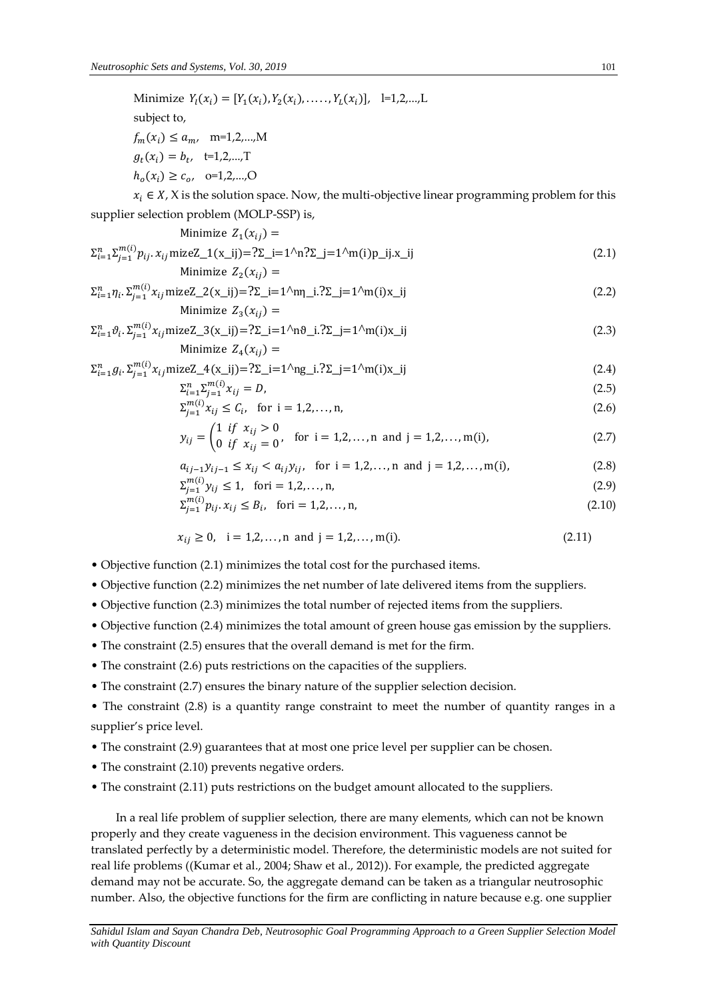Minimize  $Y_l(x_i) = [Y_1(x_i), Y_2(x_i), \dots, Y_L(x_i)], \quad l=1,2,...,L$ subject to,  $f_m(x_i) \le a_{m}$ , m=1,2,...,M  $g_t(x_i) = b_t$ , t=1,2,...,T  $h_o(x_i) \geq c_o, \quad o=1,2,...,O$ 

 $x_i \in X$ , X is the solution space. Now, the multi-objective linear programming problem for this supplier selection problem (MOLP-SSP) is,

Minimize 
$$
Z_1(x_{ij}) =
$$
  
\n
$$
\Sigma_{i=1}^n \Sigma_{j=1}^{m(i)} p_{ij} \cdot x_{ij} \text{mizeZ}_1(x_{ij}) = ?\Sigma_i = 1^\Lambda n ?\Sigma_j = 1^\Lambda m(i) p_i x_i
$$
\n
$$
\text{Minimize } Z_2(x_{ij}) =
$$
\n
$$
(2.1)
$$

$$
\Sigma_{i=1}^{n} \eta_i \cdot \Sigma_{j=1}^{m(i)} x_{ij} \text{mizeZ\_2(x_{ij})} = ?\Sigma_i = 1^{\text{A}} \eta_i \cdot ?\Sigma_j = 1^{\text{A}} \eta_i \cdot x_{ij}
$$
\nMinimize  $Z_3(x_{ij}) =$ 

\n(2.2)

$$
\Sigma_{i=1}^{n} \vartheta_i \cdot \Sigma_{j=1}^{m(i)} x_{ij} \text{mizeZ\_3(x_i)} = ?\Sigma_i = 1^{\Lambda} n \vartheta_i . ?\Sigma_j = 1^{\Lambda} m(i) x_i
$$
 (2.3)  
Minimize  $Z_4(x_{ij}) =$ 

$$
\Sigma_{i=1}^{n} g_i \cdot \Sigma_{j=1}^{m(i)} x_{ij} \text{mizeZ\_4(x_{ij})} = ?\Sigma_i = 1^{\Lambda} \text{ng}_i . ?\Sigma_j = 1^{\Lambda} \text{m(i)} \text{m(j)} \tag{2.4}
$$

$$
\sum_{i=1}^{n} \sum_{j=1}^{m(i)} x_{ij} = D,\tag{2.5}
$$

$$
\sum_{j=1}^{m(i)} x_{ij} \le C_i, \text{ for } i = 1, 2, ..., n,
$$
\n(2.6)

$$
y_{ij} = \begin{pmatrix} 1 & if & x_{ij} > 0 \\ 0 & if & x_{ij} = 0 \end{pmatrix}, \text{ for } i = 1, 2, ..., n \text{ and } j = 1, 2, ..., m(i),
$$
 (2.7)

$$
a_{ij-1}y_{ij-1} \le x_{ij} < a_{ij}y_{ij}, \quad \text{for } i = 1, 2, \dots, n \text{ and } j = 1, 2, \dots, m(i), \tag{2.8}
$$

$$
\sum_{j=1}^{m(i)} y_{ij} \le 1, \quad \text{for } i = 1, 2, \dots, n,
$$
\n(2.9)

$$
\sum_{j=1}^{m(i)} p_{ij} \cdot x_{ij} \le B_i, \quad \text{for } i = 1, 2, \dots, n,
$$
\n(2.10)

$$
x_{ij} \ge 0, \quad i = 1, 2, \dots, n \text{ and } j = 1, 2, \dots, m(i). \tag{2.11}
$$

- Objective function (2.1) minimizes the total cost for the purchased items.
- Objective function (2.2) minimizes the net number of late delivered items from the suppliers.
- Objective function (2.3) minimizes the total number of rejected items from the suppliers.
- Objective function (2.4) minimizes the total amount of green house gas emission by the suppliers.
- The constraint (2.5) ensures that the overall demand is met for the firm.
- The constraint (2.6) puts restrictions on the capacities of the suppliers.
- The constraint (2.7) ensures the binary nature of the supplier selection decision.
- The constraint (2.8) is a quantity range constraint to meet the number of quantity ranges in a supplier's price level.
- The constraint (2.9) guarantees that at most one price level per supplier can be chosen.
- The constraint (2.10) prevents negative orders.
- The constraint (2.11) puts restrictions on the budget amount allocated to the suppliers.

In a real life problem of supplier selection, there are many elements, which can not be known properly and they create vagueness in the decision environment. This vagueness cannot be translated perfectly by a deterministic model. Therefore, the deterministic models are not suited for real life problems ((Kumar et al., 2004; Shaw et al., 2012)). For example, the predicted aggregate demand may not be accurate. So, the aggregate demand can be taken as a triangular neutrosophic number. Also, the objective functions for the firm are conflicting in nature because e.g. one supplier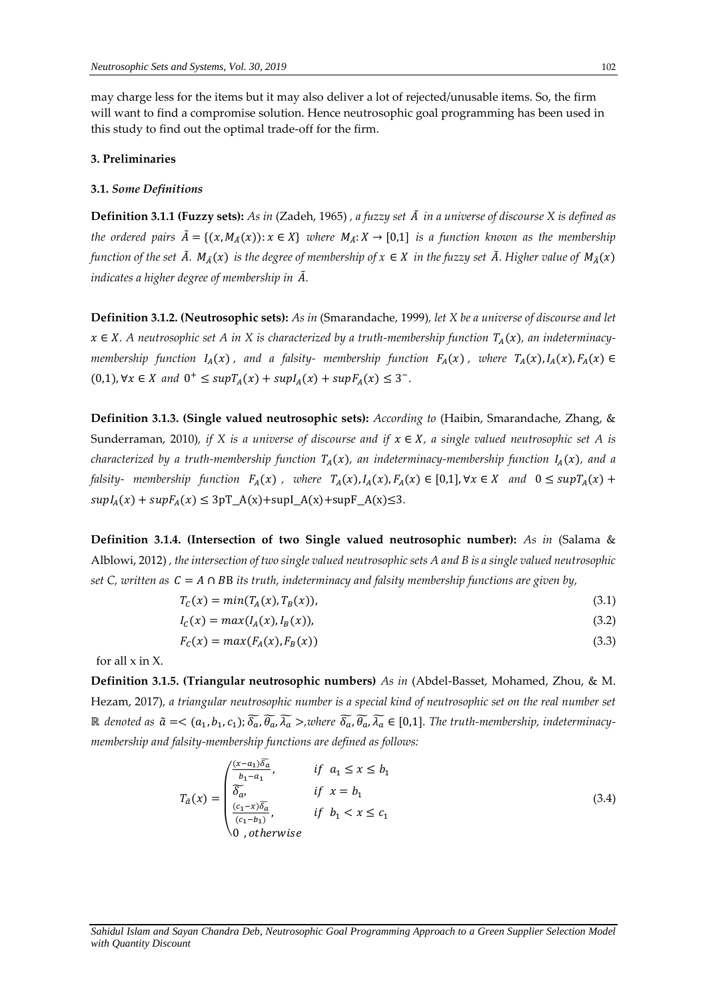may charge less for the items but it may also deliver a lot of rejected/unusable items. So, the firm will want to find a compromise solution. Hence neutrosophic goal programming has been used in this study to find out the optimal trade-off for the firm.

#### **3. Preliminaries**

#### **3.1.** *Some Definitions*

**Definition 3.1.1 (Fuzzy sets):** *As in* (Zadeh, 1965) *, a fuzzy set* ̃ *in a universe of discourse X is defined as the ordered pairs*  $\tilde{A} = \{(x, M_{\tilde{A}}(x)) : x \in X\}$  where  $M_{\tilde{A}}: X \to [0,1]$  *is a function known as the membership function of the set*  $\tilde{A}$ *.*  $M_{\tilde{A}}(x)$  *is the degree of membership of*  $x \in X$  *in the fuzzy set*  $\tilde{A}$ *. Higher value of*  $M_{\tilde{A}}(x)$ *indicates a higher degree of membership in* ̃*.* 

**Definition 3.1.2. (Neutrosophic sets):** *As in* (Smarandache, 1999)*, let X be a universe of discourse and let*   $x \in X$ . A neutrosophic set A in X is characterized by a truth-membership function  $T_A(x)$ , an indeterminacy*membership function*  $I_A(x)$ , and a falsity- *membership function*  $F_A(x)$ , *where*  $T_A(x)$ ,  $I_A(x)$ ,  $F_A(x) \in$  $(0,1)$ ,  $\forall x \in X$  and  $0^+$  ≤  $supT_A(x)$  +  $supI_A(x)$  +  $supF_A(x)$  ≤ 3<sup>-</sup>.

**Definition 3.1.3. (Single valued neutrosophic sets):** *According to* (Haibin, Smarandache, Zhang, & Sunderraman, 2010), if X is a universe of discourse and if  $x \in X$ , a single valued neutrosophic set A is *characterized by a truth-membership function*  $T_A(x)$ *, an indeterminacy-membership function*  $I_A(x)$ *, and a falsity- membership function*  $F_A(x)$ , *where*  $T_A(x)$ ,  $I_A(x)$ ,  $F_A(x) \in [0,1]$ ,  $\forall x \in X$  and  $0 \leq \sup T_A(x) +$  $supI_A(x) + supF_A(x) \leq 3pT_A(x) + supI_A(x) + supF_A(x) \leq 3.$ 

**Definition 3.1.4. (Intersection of two Single valued neutrosophic number):** *As in* (Salama & Alblowi, 2012) *, the intersection of two single valued neutrosophic sets A and B is a single valued neutrosophic set C, written as*  $C = A \cap BB$  *its truth, indeterminacy and falsity membership functions are given by,* 

$$
T_c(x) = min(T_A(x), T_B(x)),
$$
\n(3.1)

$$
I_c(x) = max(I_A(x), I_B(x)),
$$
\n(3.2)

$$
F_c(x) = max(F_A(x), F_B(x))
$$
\n(3.3)

for all  $x$  in  $X$ .

**Definition 3.1.5. (Triangular neutrosophic numbers)** *As in* (Abdel-Basset, Mohamed, Zhou, & M. Hezam, 2017)*, a triangular neutrosophic number is a special kind of neutrosophic set on the real number set*   $\R$  denoted as  $\tilde{a} = <(a_1, b_1, c_1)$ ;  $\widetilde{\delta_a}$ ,  $\widetilde{\theta_a}$ ,  $\widetilde{\lambda_a} >$ ,where  $\widetilde{\delta_a}$ ,  $\widetilde{\theta_a}$ ,  $\widetilde{\lambda_a} \in [0,1]$ . The truth-membership, indeterminacy*membership and falsity-membership functions are defined as follows:* 

$$
T_{\tilde{a}}(x) = \begin{pmatrix} \frac{(x-a_1)\overline{\delta_a}}{b_1 - a_1}, & \text{if } a_1 \le x \le b_1 \\ \overline{\delta_a}, & \text{if } x = b_1 \\ \frac{(c_1 - x)\overline{\delta_a}}{(c_1 - b_1)}, & \text{if } b_1 < x \le c_1 \\ 0, \text{otherwise} \end{pmatrix} \tag{3.4}
$$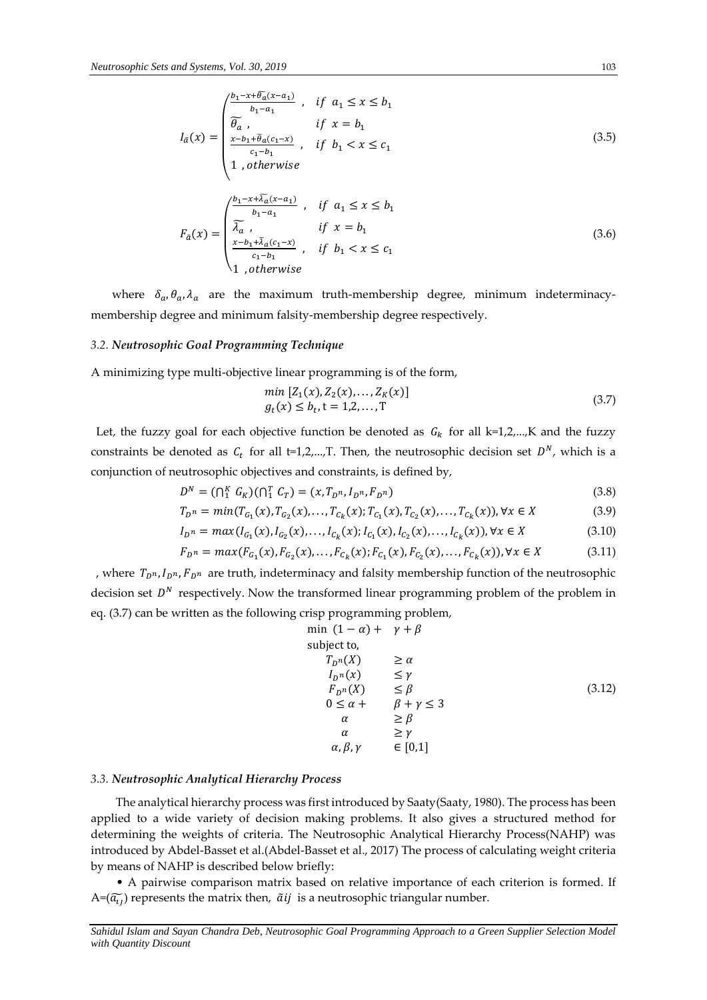$$
I_{\tilde{a}}(x) = \begin{pmatrix} \frac{b_1 - x + \tilde{\theta}_a(x - a_1)}{b_1 - a_1} & \text{if } a_1 \le x \le b_1 \\ \widetilde{\theta}_a & \text{if } x = b_1 \\ \frac{x - b_1 + \tilde{\theta}_a(c_1 - x)}{c_1 - b_1} & \text{if } b_1 < x \le c_1 \\ 1 & \text{otherwise} \end{pmatrix} \tag{3.5}
$$

$$
F_{\tilde{a}}(x) = \begin{pmatrix} \frac{b_1 - x + \tilde{\lambda}_a(x - a_1)}{b_1 - a_1} & \text{if } a_1 \le x \le b_1 \\ \tilde{\lambda}_a & \text{if } x = b_1 \\ \frac{x - b_1 + \tilde{\lambda}_a(c_1 - x)}{c_1 - b_1} & \text{if } b_1 < x \le c_1 \\ 1 & \text{otherwise} \end{pmatrix} \tag{3.6}
$$

where  $\delta_a$ ,  $\theta_a$ ,  $\lambda_a$  are the maximum truth-membership degree, minimum indeterminacymembership degree and minimum falsity-membership degree respectively.

## *3.2. Neutrosophic Goal Programming Technique*

 $\bigwedge$ 

A minimizing type multi-objective linear programming is of the form,

$$
\min [Z_1(x), Z_2(x), \dots, Z_K(x)]
$$
  
 
$$
g_t(x) \le b_t, t = 1, 2, \dots, T
$$
 (3.7)

Let, the fuzzy goal for each objective function be denoted as  $G_k$  for all k=1,2,...,K and the fuzzy constraints be denoted as  $C_t$  for all t=1,2,...,T. Then, the neutrosophic decision set  $D^N$ , which is a conjunction of neutrosophic objectives and constraints, is defined by,

$$
D^{N} = (\bigcap_{1}^{K} G_{K}) (\bigcap_{1}^{T} C_{T}) = (x, T_{D^{n}}, I_{D^{n}}, F_{D^{n}}) \tag{3.8}
$$

$$
T_{D} = min(T_{G_1}(x), T_{G_2}(x), \dots, T_{C_k}(x); T_{C_1}(x), T_{C_2}(x), \dots, T_{C_k}(x)), \forall x \in X
$$
\n(3.9)

$$
I_{D} = max(I_{G_1}(x), I_{G_2}(x), \dots, I_{C_k}(x); I_{C_1}(x), I_{C_2}(x), \dots, I_{C_k}(x)), \forall x \in X
$$
\n(3.10)

$$
F_{D^n} = \max(F_{G_1}(x), F_{G_2}(x), \dots, F_{C_k}(x); F_{C_1}(x), F_{C_2}(x), \dots, F_{C_k}(x)), \forall x \in X
$$
\n(3.11)

, where  $T_{D^n}$ ,  $I_{D^n}$ ,  $F_{D^n}$  are truth, indeterminacy and falsity membership function of the neutrosophic decision set  $D^N$  respectively. Now the transformed linear programming problem of the problem in eq. (3.7) can be written as the following crisp programming problem,

$$
\min (1 - \alpha) + \gamma + \beta
$$
\n
$$
\text{subject to,}
$$
\n
$$
T_{D^n}(X) \geq \alpha
$$
\n
$$
I_{D^n}(x) \leq \gamma
$$
\n
$$
F_{D^n}(X) \leq \beta
$$
\n
$$
0 \leq \alpha + \beta + \gamma \leq 3
$$
\n
$$
\alpha \geq \beta
$$
\n
$$
\alpha \geq \gamma
$$
\n
$$
\alpha, \beta, \gamma \in [0,1]
$$
\n(3.12)

#### *3.3. Neutrosophic Analytical Hierarchy Process*

The analytical hierarchy process was first introduced by Saaty(Saaty, 1980). The process has been applied to a wide variety of decision making problems. It also gives a structured method for determining the weights of criteria. The Neutrosophic Analytical Hierarchy Process(NAHP) was introduced by Abdel-Basset et al.(Abdel-Basset et al., 2017) The process of calculating weight criteria by means of NAHP is described below briefly:

• A pairwise comparison matrix based on relative importance of each criterion is formed. If  $A=(\widetilde{a}_{\iota\iota})$  represents the matrix then,  $\widetilde{a}ij$  is a neutrosophic triangular number.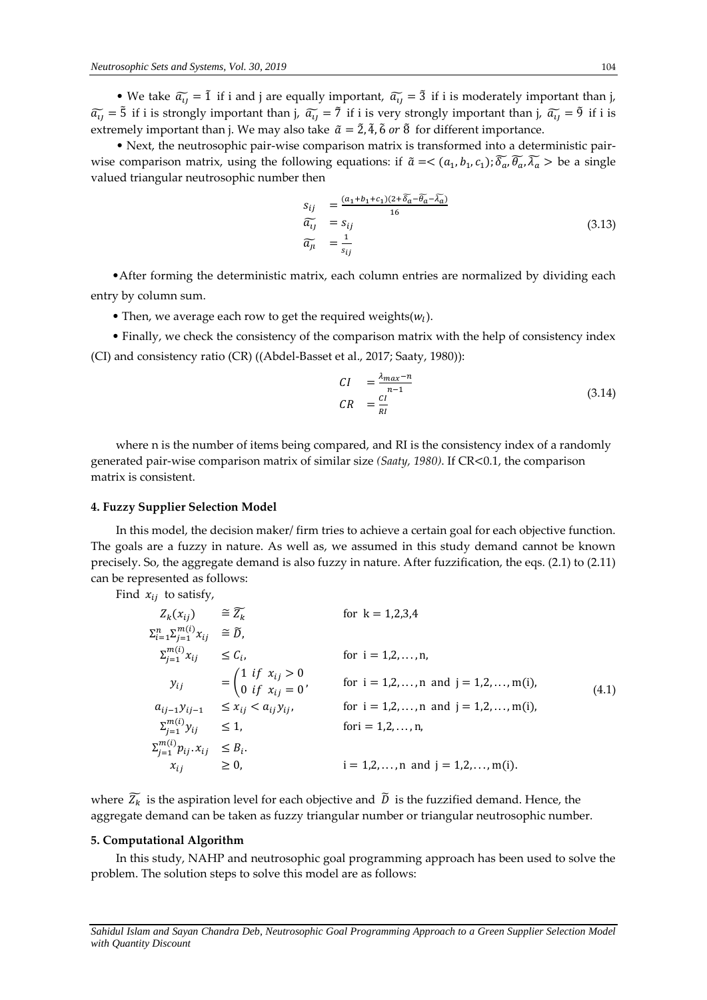• We take  $\tilde{a}_{ij} = 1$  if i and j are equally important,  $\tilde{a}_{ij} = 3$  if i is moderately important than j,  $\widetilde{a_{11}}$  = 5̃ if i is strongly important than j,  $\widetilde{a_{11}}$  = 7̃ if i is very strongly important than j,  $\widetilde{a_{11}}$  = 9̃ if i is extremely important than j. We may also take  $\tilde{a} = \tilde{2}$ ,  $\tilde{4}$ ,  $\tilde{6}$  or  $\tilde{8}$  for different importance.

• Next, the neutrosophic pair-wise comparison matrix is transformed into a deterministic pairwise comparison matrix, using the following equations: if  $\tilde{a} = <(a_1, b_1, c_1)$ ;  $\widetilde{\delta_a}$ ,  $\widetilde{\delta_a}$ ,  $\widetilde{\delta_a}$ ,  $\widetilde{\delta_a}$ ,  $\widetilde{\delta_a}$ ,  $\widetilde{\delta_a}$ ,  $\widetilde{\delta_a}$ valued triangular neutrosophic number then

$$
s_{ij} = \frac{(a_1 + b_1 + c_1)(2 + \overline{\delta_a} - \overline{\theta_a} - \overline{\lambda_a})}{16}
$$
  
\n
$$
\overline{a_{ij}} = s_{ij}
$$
  
\n
$$
\overline{a_{ji}} = \frac{1}{s_{ij}}
$$
\n(3.13)

 •After forming the deterministic matrix, each column entries are normalized by dividing each entry by column sum.

- Then, we average each row to get the required weights $(w_l)$ .
- Finally, we check the consistency of the comparison matrix with the help of consistency index (CI) and consistency ratio (CR) ((Abdel-Basset et al., 2017; Saaty, 1980)):

$$
CI = \frac{\lambda_{max} - n}{n - 1}
$$
  
\n
$$
CR = \frac{CI}{RI}
$$
\n(3.14)

where n is the number of items being compared, and RI is the consistency index of a randomly generated pair-wise comparison matrix of similar size *(Saaty, 1980)*. If CR<0.1, the comparison matrix is consistent.

#### **4. Fuzzy Supplier Selection Model**

In this model, the decision maker/ firm tries to achieve a certain goal for each objective function. The goals are a fuzzy in nature. As well as, we assumed in this study demand cannot be known precisely. So, the aggregate demand is also fuzzy in nature. After fuzzification, the eqs. (2.1) to (2.11) can be represented as follows:

Find  $x_{ij}$  to satisfy,

$$
Z_{k}(x_{ij}) \cong \widetilde{Z}_{k} \quad \text{for } k = 1,2,3,4
$$
\n
$$
\sum_{i=1}^{n} \sum_{j=1}^{m(i)} x_{ij} \cong \widetilde{D},
$$
\n
$$
\sum_{j=1}^{m(i)} x_{ij} \leq C_{i}, \quad \text{for } i = 1,2,...,n,
$$
\n
$$
y_{ij} = \begin{pmatrix} 1 & \text{if } x_{ij} > 0 \\ 0 & \text{if } x_{ij} = 0 \end{pmatrix} \quad \text{for } i = 1,2,...,n \text{ and } j = 1,2,...,m(i),
$$
\n
$$
a_{ij-1}y_{ij-1} \leq x_{ij} < a_{ij}y_{ij}, \quad \text{for } i = 1,2,...,n \text{ and } j = 1,2,...,m(i),
$$
\n
$$
\sum_{j=1}^{m(i)} y_{ij} \leq 1, \quad \text{for } i = 1,2,...,n,
$$
\n
$$
\sum_{j=1}^{m(i)} p_{ij} \cdot x_{ij} \leq B_{i}.
$$
\n
$$
x_{ij} \geq 0, \quad i = 1,2,...,n \text{ and } j = 1,2,...,m(i).
$$
\n(4.1)

where  $\widetilde{Z_k}$  is the aspiration level for each objective and  $\widetilde{D}$  is the fuzzified demand. Hence, the aggregate demand can be taken as fuzzy triangular number or triangular neutrosophic number.

## **5. Computational Algorithm**

In this study, NAHP and neutrosophic goal programming approach has been used to solve the problem. The solution steps to solve this model are as follows:

*Sahidul Islam and Sayan Chandra Deb, Neutrosophic Goal Programming Approach to a Green Supplier Selection Model with Quantity Discount*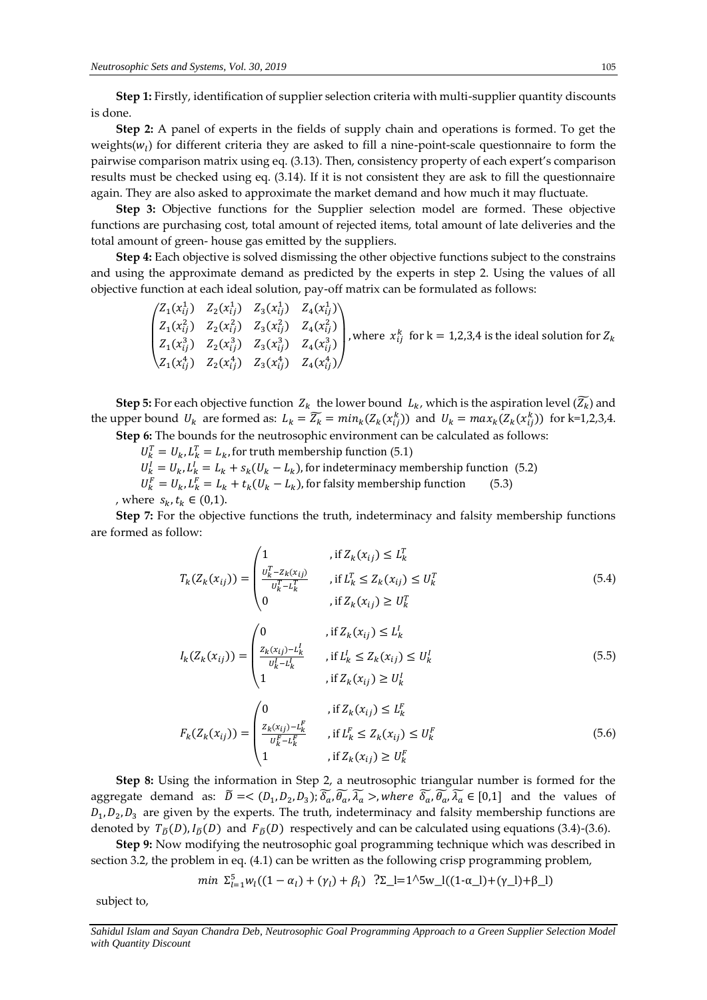**Step 1:** Firstly, identification of supplier selection criteria with multi-supplier quantity discounts is done.

**Step 2:** A panel of experts in the fields of supply chain and operations is formed. To get the weights( $w_l$ ) for different criteria they are asked to fill a nine-point-scale questionnaire to form the pairwise comparison matrix using eq. (3.13). Then, consistency property of each expert's comparison results must be checked using eq. (3.14). If it is not consistent they are ask to fill the questionnaire again. They are also asked to approximate the market demand and how much it may fluctuate.

**Step 3:** Objective functions for the Supplier selection model are formed. These objective functions are purchasing cost, total amount of rejected items, total amount of late deliveries and the total amount of green- house gas emitted by the suppliers.

**Step 4:** Each objective is solved dismissing the other objective functions subject to the constrains and using the approximate demand as predicted by the experts in step 2. Using the values of all objective function at each ideal solution, pay-off matrix can be formulated as follows:

$$
\begin{pmatrix} Z_1(x_{ij}^1) & Z_2(x_{ij}^1) & Z_3(x_{ij}^1) & Z_4(x_{ij}^1) \\ Z_1(x_{ij}^2) & Z_2(x_{ij}^2) & Z_3(x_{ij}^2) & Z_4(x_{ij}^2) \\ Z_1(x_{ij}^3) & Z_2(x_{ij}^3) & Z_3(x_{ij}^3) & Z_4(x_{ij}^3) \\ Z_1(x_{ij}^4) & Z_2(x_{ij}^4) & Z_3(x_{ij}^4) & Z_4(x_{ij}^4) \end{pmatrix}
$$
, where  $x_{ij}^k$  for k = 1,2,3,4 is the ideal solution for  $Z_k$ 

**Step 5:** For each objective function  $Z_k$  the lower bound  $L_k$ , which is the aspiration level  $(\overline{Z_k})$  and the upper bound  $U_k$  are formed as:  $L_k = \overline{Z_k} = min_k(Z_k(x_{ij}^k))$  and  $U_k = max_k(Z_k(x_{ij}^k))$  for k=1,2,3,4. **Step 6:** The bounds for the neutrosophic environment can be calculated as follows:

 $U_k^T = U_k, L_k^T = L_k$ , for truth membership function (5.1)

 $U_k^I = U_k$ ,  $L_k^I = L_k + s_k(U_k - L_k)$ , for indeterminacy membership function (5.2)  $U_k^F = U_k, L_k^F = L_k + t_k(U_k - L_k)$ , for falsity membership function (5.3)

, where  $s_k, t_k$  ∈ (0,1).

**Step 7:** For the objective functions the truth, indeterminacy and falsity membership functions are formed as follow:

$$
T_{k}(Z_{k}(x_{ij})) = \begin{pmatrix} 1 & , \text{if } Z_{k}(x_{ij}) \leq L_{k}^{T} \\ \frac{U_{k}^{T} - Z_{k}(x_{ij})}{U_{k}^{T} - L_{k}^{T}} & , \text{if } L_{k}^{T} \leq Z_{k}(x_{ij}) \leq U_{k}^{T} \\ 0 & , \text{if } Z_{k}(x_{ij}) \geq U_{k}^{T} \end{pmatrix}
$$
(5.4)

$$
I_{k}(Z_{k}(x_{ij})) = \begin{cases} 0 & , \text{if } Z_{k}(x_{ij}) \leq L_{k}^{l} \\ \frac{Z_{k}(x_{ij}) - L_{k}^{l}}{U_{k}^{l} - L_{k}^{l}} & , \text{if } L_{k}^{l} \leq Z_{k}(x_{ij}) \leq U_{k}^{l} \\ 1 & , \text{if } Z_{k}(x_{ij}) \geq U_{k}^{l} \end{cases}
$$
(5.5)

$$
F_k(Z_k(x_{ij})) = \begin{cases} 0 & , \text{if } Z_k(x_{ij}) \le L_k^F \\ \frac{z_k(x_{ij}) - L_k^F}{U_k^F - L_k^F} & , \text{if } L_k^F \le Z_k(x_{ij}) \le U_k^F \\ 1 & , \text{if } Z_k(x_{ij}) \ge U_k^F \end{cases}
$$
(5.6)

**Step 8:** Using the information in Step 2, a neutrosophic triangular number is formed for the aggregate demand as:  $\tilde{D} = \langle (D_1, D_2, D_3) ; \tilde{\delta_a}, \tilde{\theta_a}, \tilde{\lambda_a} \rangle$ , where  $\tilde{\delta_a}, \tilde{\theta_a}, \tilde{\lambda_a} \in [0,1]$  and the values of  $D_1, D_2, D_3$  are given by the experts. The truth, indeterminacy and falsity membership functions are denoted by  $T_{\tilde{D}}(D)$ ,  $I_{\tilde{D}}(D)$  and  $F_{\tilde{D}}(D)$  respectively and can be calculated using equations (3.4)-(3.6).

**Step 9:** Now modifying the neutrosophic goal programming technique which was described in section 3.2, the problem in eq. (4.1) can be written as the following crisp programming problem,

$$
min \ \Sigma_{l=1}^{5} w_l ((1 - \alpha_l) + (\gamma_l) + \beta_l) \ ?\Sigma_l = 1^{5} w_l ((1 - \alpha_l) + (\gamma_l) + \beta_l)
$$

subject to,

*Sahidul Islam and Sayan Chandra Deb, Neutrosophic Goal Programming Approach to a Green Supplier Selection Model with Quantity Discount*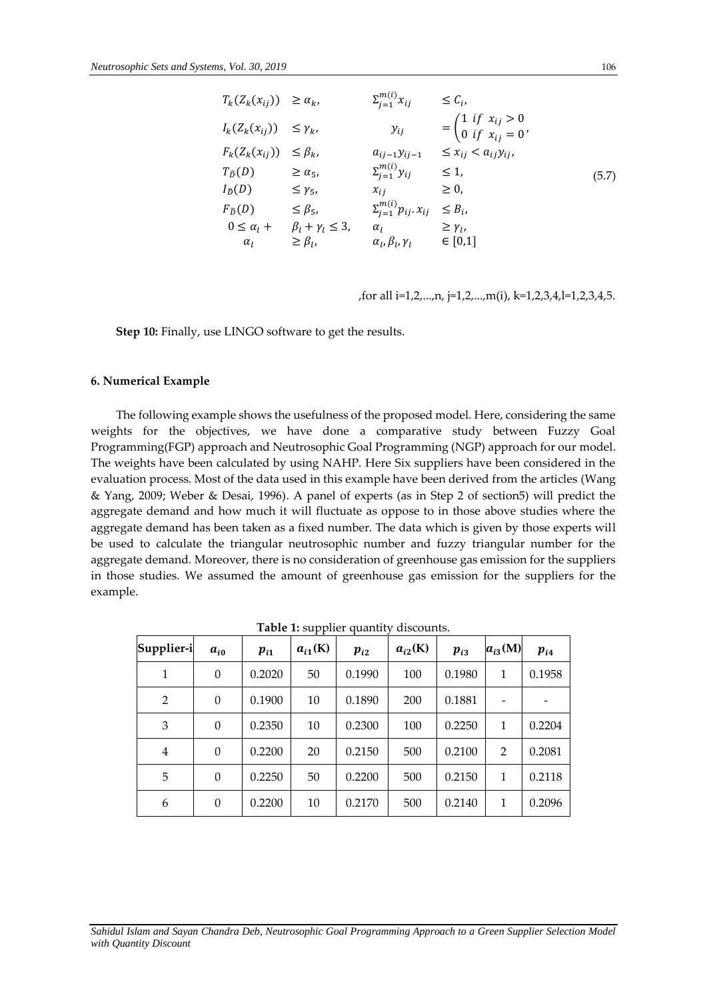| $T_k(Z_k(x_{ij})) \geq \alpha_k$  |                                                 | $\Sigma_{i=1}^{m(i)} x_{ii}$            | $\leq C_i$                                                                           |       |
|-----------------------------------|-------------------------------------------------|-----------------------------------------|--------------------------------------------------------------------------------------|-------|
| $I_k(Z_k(x_{ij})) \leq \gamma_k,$ |                                                 | $y_{ij}$                                | = $\begin{cases} 1 & \text{if } x_{ij} > 0 \\ 0 & \text{if } x_{ij} = 0 \end{cases}$ |       |
| $F_k(Z_k(x_{ij})) \leq \beta_k,$  |                                                 | $a_{ij-1}y_{ij-1}$                      | $\leq x_{ij} < a_{ij} y_{ij}$                                                        |       |
| $T_{\tilde{D}}(D)$                | $\geq \alpha_{5}$                               | $\Sigma_{i=1}^{m(i)}$ $y_{ij}$          | $\leq 1$                                                                             | (5.7) |
| $I_{\widetilde{D}}(D)$            | $\leq \gamma_5$                                 | $x_{i,i}$                               | $\geq 0$ ,                                                                           |       |
| $F_{\tilde{D}}(D)$                | $\leq \beta_5$                                  | $\sum_{i=1}^{m(i)} p_{ij} \cdot x_{ij}$ | $\leq B_i$                                                                           |       |
|                                   | $0 \leq \alpha_l + \beta_l + \gamma_l \leq 3$ , | $\alpha_{I}$                            | $\geq \gamma_{l}$                                                                    |       |
| $\alpha_I$                        | $\geq \beta_l$                                  | $\alpha_l, \beta_l, \gamma_l$           | $\in [0,1]$                                                                          |       |

,for all i=1,2,...,n, j=1,2,...,m(i), k=1,2,3,4,l=1,2,3,4,5.

**Step 10:** Finally, use LINGO software to get the results.

#### **6. Numerical Example**

The following example shows the usefulness of the proposed model. Here, considering the same weights for the objectives, we have done a comparative study between Fuzzy Goal Programming(FGP) approach and Neutrosophic Goal Programming (NGP) approach for our model. The weights have been calculated by using NAHP. Here Six suppliers have been considered in the evaluation process. Most of the data used in this example have been derived from the articles (Wang & Yang, 2009; Weber & Desai, 1996). A panel of experts (as in Step 2 of section5) will predict the aggregate demand and how much it will fluctuate as oppose to in those above studies where the aggregate demand has been taken as a fixed number. The data which is given by those experts will be used to calculate the triangular neutrosophic number and fuzzy triangular number for the aggregate demand. Moreover, there is no consideration of greenhouse gas emission for the suppliers in those studies. We assumed the amount of greenhouse gas emission for the suppliers for the example.

|                |                |          | . .          |          |              |          |                |          |
|----------------|----------------|----------|--------------|----------|--------------|----------|----------------|----------|
| Supplier-i     | $a_{i0}$       | $p_{i1}$ | $a_{i1}$ (K) | $p_{i2}$ | $a_{i2}$ (K) | $p_{i3}$ | $a_{i3}(M)$    | $p_{i4}$ |
| 1              | $\theta$       | 0.2020   | 50           | 0.1990   | 100          | 0.1980   | 1              | 0.1958   |
| $\overline{2}$ | $\overline{0}$ | 0.1900   | 10           | 0.1890   | 200          | 0.1881   |                |          |
| 3              | $\overline{0}$ | 0.2350   | 10           | 0.2300   | 100          | 0.2250   | 1              | 0.2204   |
| 4              | $\theta$       | 0.2200   | 20           | 0.2150   | 500          | 0.2100   | $\overline{2}$ | 0.2081   |
| 5              | $\theta$       | 0.2250   | 50           | 0.2200   | 500          | 0.2150   | 1              | 0.2118   |
| 6              | $\overline{0}$ | 0.2200   | 10           | 0.2170   | 500          | 0.2140   | 1              | 0.2096   |

**Table 1:** supplier quantity discounts.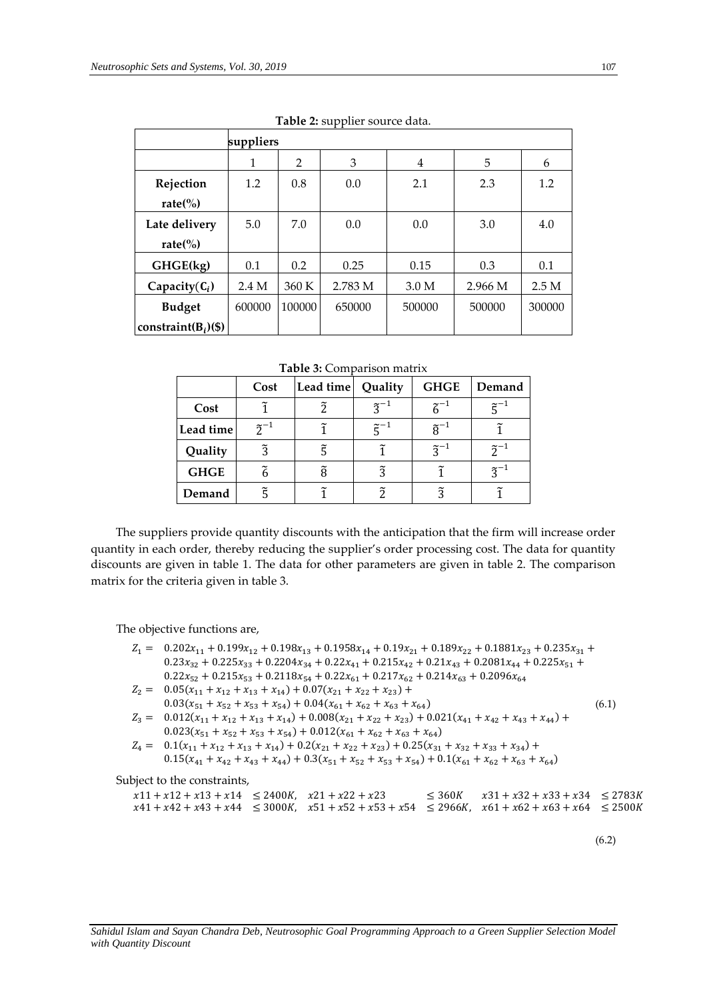| $10010 = 000$ photographic duties. |           |        |         |                  |         |        |  |
|------------------------------------|-----------|--------|---------|------------------|---------|--------|--|
|                                    | suppliers |        |         |                  |         |        |  |
|                                    | 1         | 2      | 3       | 4                | 5       | 6      |  |
| Rejection                          | 1.2       | 0.8    | 0.0     | 2.1              | 2.3     | 1.2    |  |
| rate $\left(\%\right)$             |           |        |         |                  |         |        |  |
| Late delivery                      | 5.0       | 7.0    | 0.0     | 0.0              | 3.0     | 4.0    |  |
| rate $\left(\%\right)$             |           |        |         |                  |         |        |  |
| GHGE(kg)                           | 0.1       | 0.2    | 0.25    | 0.15             | 0.3     | 0.1    |  |
| Capacity $(C_i)$                   | 2.4 M     | 360 K  | 2.783 M | 3.0 <sub>M</sub> | 2.966 M | 2.5M   |  |
| <b>Budget</b>                      | 600000    | 100000 | 650000  | 500000           | 500000  | 300000 |  |
| constraint( $B_i$ )(\$)            |           |        |         |                  |         |        |  |

**Table 2:** supplier source data.

**Table 3:** Comparison matrix

|             | Cost             | Lead time | Quality              | <b>GHGE</b>      | Demand                        |
|-------------|------------------|-----------|----------------------|------------------|-------------------------------|
| Cost        |                  |           | $\tilde{z}^{-1}$     | $\tilde{z}^{-1}$ | $\widetilde{\mathsf{r}}^{-1}$ |
| Lead time   | $\tilde{2}^{-1}$ |           | $\widetilde{c}^{-1}$ | $\tilde{g}^{-1}$ |                               |
| Quality     | $\widetilde{3}$  |           |                      | $\tilde{z}^{-1}$ | $\tilde{2}^{-1}$              |
| <b>GHGE</b> |                  | Ã         | $\widetilde{3}$      |                  | $\tilde{z}^-$                 |
| Demand      |                  |           | ຈັ                   | วั               |                               |

The suppliers provide quantity discounts with the anticipation that the firm will increase order quantity in each order, thereby reducing the supplier's order processing cost. The data for quantity discounts are given in table 1. The data for other parameters are given in table 2. The comparison matrix for the criteria given in table 3.

The objective functions are,

| $Z_1 = 0.202x_{11} + 0.199x_{12} + 0.198x_{13} + 0.1958x_{14} + 0.19x_{21} + 0.189x_{22} + 0.1881x_{23} + 0.235x_{31} +$        |       |
|---------------------------------------------------------------------------------------------------------------------------------|-------|
| $0.23x_{32} + 0.225x_{33} + 0.2204x_{34} + 0.22x_{41} + 0.215x_{42} + 0.21x_{43} + 0.2081x_{44} + 0.225x_{51} +$                |       |
| $0.22x_{52} + 0.215x_{53} + 0.2118x_{54} + 0.22x_{61} + 0.217x_{62} + 0.214x_{63} + 0.2096x_{64}$                               |       |
| $Z_2 = 0.05(x_{11} + x_{12} + x_{13} + x_{14}) + 0.07(x_{21} + x_{22} + x_{23}) +$                                              |       |
| $0.03(x_{51} + x_{52} + x_{53} + x_{54}) + 0.04(x_{61} + x_{62} + x_{63} + x_{64})$                                             | (6.1) |
| $Z_3 = 0.012(x_{11} + x_{12} + x_{13} + x_{14}) + 0.008(x_{21} + x_{22} + x_{23}) + 0.021(x_{41} + x_{42} + x_{43} + x_{44}) +$ |       |
| $0.023(x_{51} + x_{52} + x_{53} + x_{54}) + 0.012(x_{61} + x_{62} + x_{63} + x_{64})$                                           |       |
| $Z_4 = 0.1(x_{11} + x_{12} + x_{13} + x_{14}) + 0.2(x_{21} + x_{22} + x_{23}) + 0.25(x_{31} + x_{32} + x_{33} + x_{34}) +$      |       |
| $0.15(x_{41} + x_{42} + x_{43} + x_{44}) + 0.3(x_{51} + x_{52} + x_{53} + x_{54}) + 0.1(x_{61} + x_{62} + x_{63} + x_{64})$     |       |
| Subject to the constraints,                                                                                                     |       |
| $r31 + r32 + r33 + r34 < 2783$<br>$r11 + r12 + r13 + r14$ < $2400K$ $r21 + r22 + r23$<br>< 360K                                 |       |

| $x11 + x12 + x13 + x14 \le 2400K$ , $x21 + x22 + x23$ |                                                                                                              | $< 360K$ $x31 + x32 + x33 + x34$ $< 2783K$ |  |
|-------------------------------------------------------|--------------------------------------------------------------------------------------------------------------|--------------------------------------------|--|
|                                                       | $x41 + x42 + x43 + x44 \leq 3000K$ , $x51 + x52 + x53 + x54 \leq 2966K$ , $x61 + x62 + x63 + x64 \leq 2500K$ |                                            |  |

(6.2)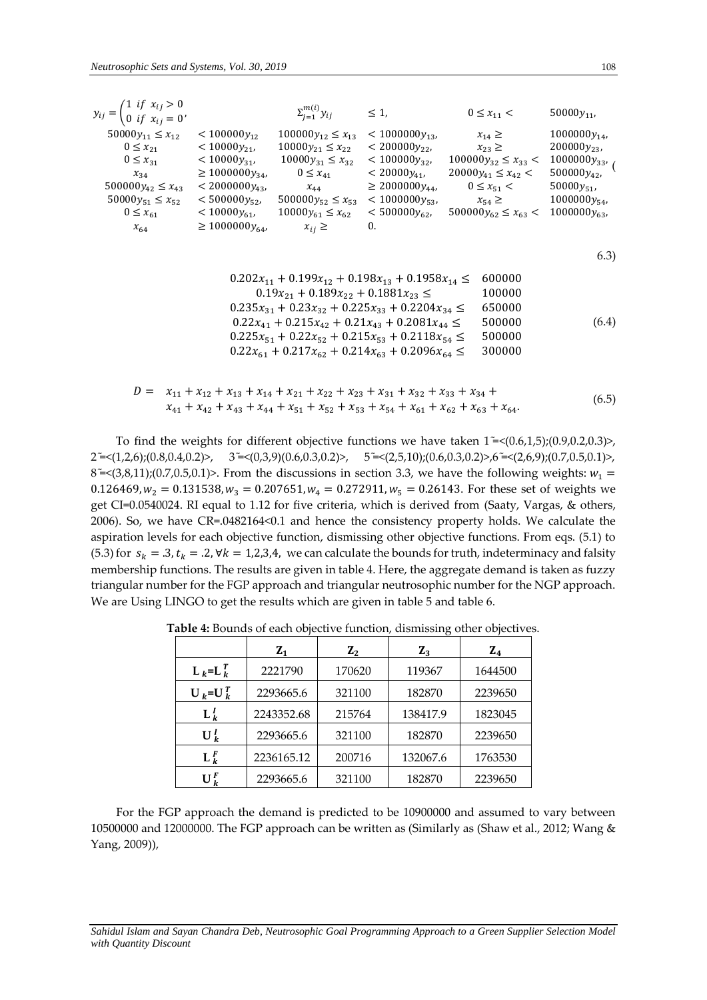| $y_{ij} = \begin{cases} 1 & \text{if } x_{ij} > 0 \\ 0 & \text{if } x_{ij} = 0 \end{cases}$                                                                         |                                                                                                                                                                                    | $\sum_{i=1}^{m(i)} y_{ij}$                                                                                                                                                                                                                                                                                                                                                                                                                                   | $\leq 1$ ,                                                                                                                                                            | $0 \le x_{11}$ <                                                                                                                                               | 50000 $y_{11}$                                                                                                                 |
|---------------------------------------------------------------------------------------------------------------------------------------------------------------------|------------------------------------------------------------------------------------------------------------------------------------------------------------------------------------|--------------------------------------------------------------------------------------------------------------------------------------------------------------------------------------------------------------------------------------------------------------------------------------------------------------------------------------------------------------------------------------------------------------------------------------------------------------|-----------------------------------------------------------------------------------------------------------------------------------------------------------------------|----------------------------------------------------------------------------------------------------------------------------------------------------------------|--------------------------------------------------------------------------------------------------------------------------------|
| $50000y_{11} \le x_{12}$<br>$0 \leq x_{21}$<br>$0 \leq x_{31}$<br>$x_{34}$<br>$500000 y_{42} \le x_{43}$<br>$50000y_{51}\leq x_{52}$<br>$0 \leq x_{61}$<br>$x_{64}$ | $<$ 100000 $y_{12}$<br>$<$ 10000 $y_{21}$<br>$<$ 10000 $y_{31}$<br>$\geq 1000000y_{34}$<br>$<$ 2000000 $y_{43}$<br>$< 500000y_{52}$<br>$<$ 10000 $y_{61}$<br>$\geq 1000000 y_{64}$ | $100000 y_{12} \le x_{13}$<br>$10000y_{21} \le x_{22}$<br>$10000 y_{31} \le x_{32}$<br>$0 \leq x_{41}$<br>$x_{44}$<br>$500000 y_{52} \le x_{53}$<br>$10000 y_{61} \le x_{62}$<br>$x_{ij} \geq$                                                                                                                                                                                                                                                               | $<$ 1000000 $y_{13}$<br>$<$ 200000 $y_{22}$<br>$<$ 100000 $y_{32}$<br>$<$ 20000 $y_{41}$<br>$\geq 2000000y_{44}$<br>$<$ 1000000 $y_{53}$<br>$<$ 500000 $y_{62}$<br>0. | $x_{14} \geq$<br>$x_{23} \geq$<br>$100000 y_{32} \leq x_{33} <$<br>$20000y_{41} \le x_{42}$ <<br>$0 \le x_{51}$ <<br>$x_{54} \ge$<br>$500000y_{62} \le x_{63}$ | $1000000y_{14}$<br>$200000y_{23}$<br>$1000000y_{33}$<br>$500000y_{42}$<br>50000 $y_{51}$<br>$1000000y_{54}$<br>$1000000y_{63}$ |
|                                                                                                                                                                     |                                                                                                                                                                                    |                                                                                                                                                                                                                                                                                                                                                                                                                                                              |                                                                                                                                                                       |                                                                                                                                                                | 6.3)                                                                                                                           |
|                                                                                                                                                                     |                                                                                                                                                                                    | $0.202x_{11} + 0.199x_{12} + 0.198x_{13} + 0.1958x_{14} \le$<br>$0.19x_{21} + 0.189x_{22} + 0.1881x_{23} \le$<br>$0.235x_{31} + 0.23x_{32} + 0.225x_{33} + 0.2204x_{34} \le$<br>$0.22x_{41} + 0.215x_{42} + 0.21x_{43} + 0.2081x_{44} \le$<br>$0.225x_{51} + 0.22x_{52} + 0.215x_{53} + 0.2118x_{54} \le$<br>$0.22x_{61} + 0.217x_{62} + 0.214x_{63} + 0.2096x_{64} \le$                                                                                     |                                                                                                                                                                       | 600000<br>100000<br>650000<br>500000<br>500000<br>300000                                                                                                       | (6.4)                                                                                                                          |
|                                                                                                                                                                     |                                                                                                                                                                                    | $D = x_{11} + x_{12} + x_{13} + x_{14} + x_{21} + x_{22} + x_{23} + x_{31} + x_{32} + x_{33} + x_{34} + x_{35} + x_{36} + x_{37} + x_{38} + x_{39} + x_{31} + x_{32} + x_{33} + x_{34} + x_{35} + x_{36} + x_{37} + x_{38} + x_{39} + x_{31} + x_{32} + x_{33} + x_{34} + x_{35} + x_{36} + x_{37} + x_{38} + x_{39} + x_{30} + x_{31} + x_{$<br>$x_{41} + x_{42} + x_{43} + x_{44} + x_{51} + x_{52} + x_{53} + x_{54} + x_{61} + x_{62} + x_{63} + x_{64}$ |                                                                                                                                                                       |                                                                                                                                                                | (6.5)                                                                                                                          |

To find the weights for different objective functions we have taken  $1 = \langle (0.6, 1.5) ; (0.9, 0.2, 0.3) \rangle$ , 2 <del>~</del>  $\leq$  (1,2,6);(0.8,0.4,0.2)>, 3 ~ <(0,3,9)(0.6,0.3,0.2)>, 5 ~ <(2,5,10);(0.6,0.3,0.2)>,6 ~ <(2,6,9);(0.7,0.5,0.1)>, 8  $\leq$  (3,8,11);(0.7,0.5,0.1)>. From the discussions in section 3.3, we have the following weights:  $w_1$  = 0.126469,  $w_2 = 0.131538$ ,  $w_3 = 0.207651$ ,  $w_4 = 0.272911$ ,  $w_5 = 0.26143$ . For these set of weights we get CI=0.0540024. RI equal to 1.12 for five criteria, which is derived from (Saaty, Vargas, & others, 2006). So, we have CR=.0482164<0.1 and hence the consistency property holds. We calculate the aspiration levels for each objective function, dismissing other objective functions. From eqs. (5.1) to (5.3) for  $s_k = .3$ ,  $t_k = .2$ ,  $\forall k = 1,2,3,4$ , we can calculate the bounds for truth, indeterminacy and falsity membership functions. The results are given in table 4. Here, the aggregate demand is taken as fuzzy triangular number for the FGP approach and triangular neutrosophic number for the NGP approach. We are Using LINGO to get the results which are given in table 5 and table 6.

|                      | $Z_1$      | ${\bf Z_2}$ | $Z_3$    | $Z_4$   |
|----------------------|------------|-------------|----------|---------|
| $L_k = L_k^T$        | 2221790    | 170620      | 119367   | 1644500 |
| $U_k = U_k^T$        | 2293665.6  | 321100      | 182870   | 2239650 |
| $L_k^l$              | 2243352.68 | 215764      | 138417.9 | 1823045 |
| $U_k^I$              | 2293665.6  | 321100      | 182870   | 2239650 |
| $\mathbf{L}_{k}^{F}$ | 2236165.12 | 200716      | 132067.6 | 1763530 |
| $\mathbf{U}_{L}^{F}$ | 2293665.6  | 321100      | 182870   | 2239650 |

**Table 4:** Bounds of each objective function, dismissing other objectives.

For the FGP approach the demand is predicted to be 10900000 and assumed to vary between 10500000 and 12000000. The FGP approach can be written as (Similarly as (Shaw et al., 2012; Wang & Yang, 2009)),

*Sahidul Islam and Sayan Chandra Deb, Neutrosophic Goal Programming Approach to a Green Supplier Selection Model with Quantity Discount*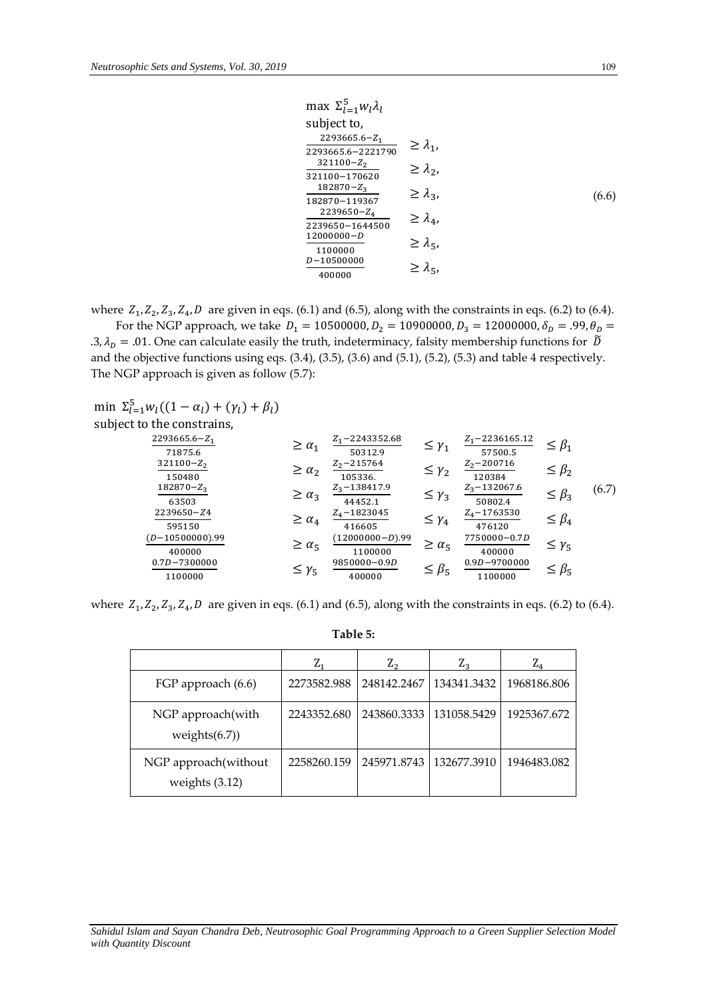$$
\max \sum_{l=1}^{5} w_{l} \lambda_{l}
$$
\nsubject to,  
\n
$$
\frac{2293665.6 - Z_{1}}{2293665.6 - 2221790} \ge \lambda_{1},
$$
\n
$$
\frac{321100 - Z_{2}}{321100 - 170620} \ge \lambda_{2},
$$
\n
$$
\frac{182870 - Z_{3}}{182870 - 119367} \ge \lambda_{3},
$$
\n
$$
\frac{2239650 - Z_{4}}{2239650 - 1644500} \ge \lambda_{4},
$$
\n
$$
\frac{12000000 - D}{1100000} \ge \lambda_{5},
$$
\n
$$
\frac{D - 10500000}{400000} \ge \lambda_{5},
$$

where  $Z_1, Z_2, Z_3, Z_4, D$  are given in eqs. (6.1) and (6.5), along with the constraints in eqs. (6.2) to (6.4).

For the NGP approach, we take  $D_1 = 10500000, D_2 = 10900000, D_3 = 12000000, \delta_D = .99, \theta_D =$ .3,  $\lambda_p = .01$ . One can calculate easily the truth, indeterminacy, falsity membership functions for  $\tilde{D}$ and the objective functions using eqs. (3.4), (3.5), (3.6) and (5.1), (5.2), (5.3) and table 4 respectively. The NGP approach is given as follow (5.7):

min 
$$
\Sigma_{l=1}^{5} w_l ((1 - \alpha_l) + (\gamma_l) + \beta_l)
$$
  
subject to the constrains,

| $2293665.6 - Z_1$<br>71875.6 | $\geq \alpha_1$ | $Z_1$ – 2243352.68<br>50312.9 | $\leq \gamma_1$   | $Z_1$ – 2236165.12<br>57500.5 | $\leq \beta_1$  |       |
|------------------------------|-----------------|-------------------------------|-------------------|-------------------------------|-----------------|-------|
| $321100 - Z_2$<br>150480     | $\geq \alpha_2$ | $Z_2 - 215764$<br>105336.     | $\leq \gamma_2$   | $Z_2$ – 200716<br>120384      | $\leq \beta_2$  |       |
| $182870 - Z_3$<br>63503      | $\geq \alpha_3$ | $Z_3$ – 138417.9<br>44452.1   | $\leq \gamma_3$   | $Z_3$ – 132067.6<br>50802.4   | $\leq \beta_3$  | (6.7) |
| 2239650-Z4<br>595150         | $\geq \alpha_4$ | $Z_4 - 1823045$<br>416605     | $\leq \gamma_4$   | $Z_4$ – 1763530<br>476120     | $\leq \beta_4$  |       |
| $(D-10500000).99$<br>400000  | $\geq \alpha_5$ | $(12000000-D).99$<br>1100000  | $\geq \alpha_{5}$ | 7750000-0.7D<br>400000        | $\leq \gamma_5$ |       |
| $0.7D - 7300000$<br>1100000  | $\leq \gamma_5$ | 9850000-0.9D<br>400000        | $\leq \beta_5$    | $0.9D - 9700000$<br>1100000   | $\leq \beta_5$  |       |
|                              |                 |                               |                   |                               |                 |       |

where  $Z_1$ ,  $Z_2$ ,  $Z_3$ ,  $Z_4$ ,  $D$  are given in eqs. (6.1) and (6.5), along with the constraints in eqs. (6.2) to (6.4).

|                                          | $Z_1$       | ${\rm Z_2}$ | $Z_3$       | ${\rm Z_4}$ |
|------------------------------------------|-------------|-------------|-------------|-------------|
| FGP approach (6.6)                       | 2273582.988 | 248142.2467 | 134341.3432 | 1968186.806 |
| NGP approach(with<br>weights $(6.7)$     | 2243352.680 | 243860.3333 | 131058.5429 | 1925367.672 |
| NGP approach(without<br>weights $(3.12)$ | 2258260.159 | 245971.8743 | 132677.3910 | 1946483.082 |

## **Table 5:**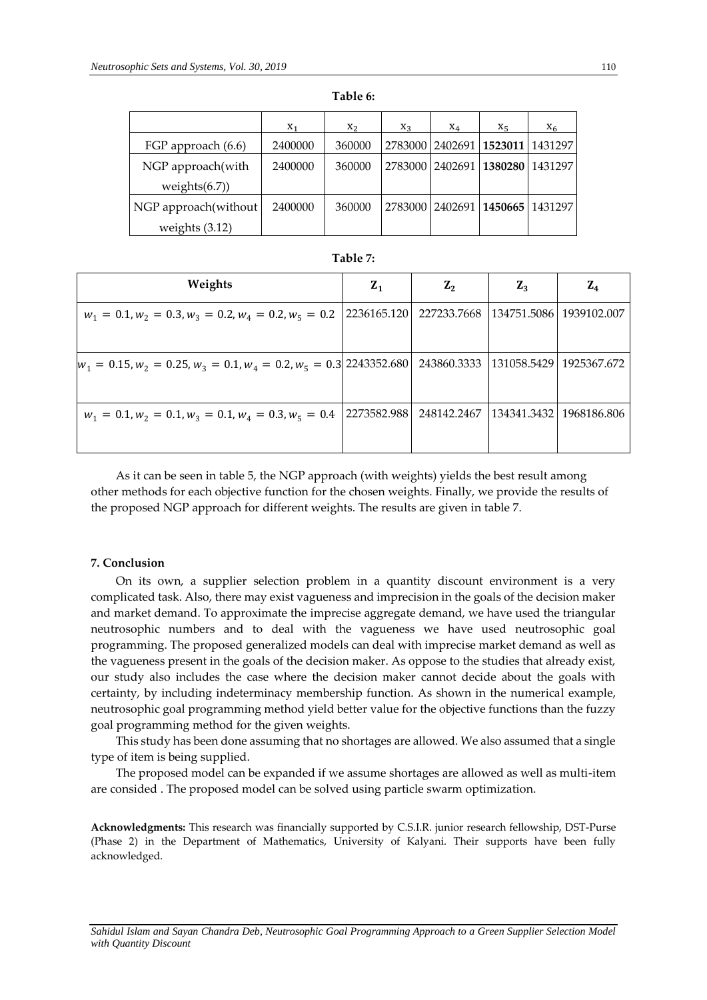|                      | $X_1$   | $X_2$  | $X_3$   | $X_4$ | $X_5$                           | $X_6$ |
|----------------------|---------|--------|---------|-------|---------------------------------|-------|
| FGP approach (6.6)   | 2400000 | 360000 |         |       | 2783000 2402691 1523011 1431297 |       |
| NGP approach(with    | 2400000 | 360000 | 2783000 |       | 2402691 1380280 1431297         |       |
| weights $(6.7)$      |         |        |         |       |                                 |       |
| NGP approach(without | 2400000 | 360000 |         |       | 2783000 2402691 1450665 1431297 |       |
| weights $(3.12)$     |         |        |         |       |                                 |       |

| Table ', |  |
|----------|--|
|          |  |

| Weights                                                               | $Z_1$       | $Z_{2}$     | $Z_3$       | ${\bf Z_4}$               |
|-----------------------------------------------------------------------|-------------|-------------|-------------|---------------------------|
| $w_1 = 0.1, w_2 = 0.3, w_3 = 0.2, w_4 = 0.2, w_5 = 0.2$               | 2236165.120 | 227233.7668 |             | 134751.5086   1939102.007 |
| $w_1 = 0.15, w_2 = 0.25, w_3 = 0.1, w_4 = 0.2, w_5 = 0.3$ 2243352.680 |             | 243860.3333 | 131058.5429 | 1925367.672               |
| $w_1 = 0.1, w_2 = 0.1, w_3 = 0.1, w_4 = 0.3, w_5 = 0.4$               | 2273582.988 | 248142.2467 | 134341.3432 | 1968186.806               |

As it can be seen in table 5, the NGP approach (with weights) yields the best result among other methods for each objective function for the chosen weights. Finally, we provide the results of the proposed NGP approach for different weights. The results are given in table 7.

### **7. Conclusion**

On its own, a supplier selection problem in a quantity discount environment is a very complicated task. Also, there may exist vagueness and imprecision in the goals of the decision maker and market demand. To approximate the imprecise aggregate demand, we have used the triangular neutrosophic numbers and to deal with the vagueness we have used neutrosophic goal programming. The proposed generalized models can deal with imprecise market demand as well as the vagueness present in the goals of the decision maker. As oppose to the studies that already exist, our study also includes the case where the decision maker cannot decide about the goals with certainty, by including indeterminacy membership function. As shown in the numerical example, neutrosophic goal programming method yield better value for the objective functions than the fuzzy goal programming method for the given weights.

This study has been done assuming that no shortages are allowed. We also assumed that a single type of item is being supplied.

The proposed model can be expanded if we assume shortages are allowed as well as multi-item are consided . The proposed model can be solved using particle swarm optimization.

**Acknowledgments:** This research was financially supported by C.S.I.R. junior research fellowship, DST-Purse (Phase 2) in the Department of Mathematics, University of Kalyani. Their supports have been fully acknowledged.

*Sahidul Islam and Sayan Chandra Deb, Neutrosophic Goal Programming Approach to a Green Supplier Selection Model with Quantity Discount*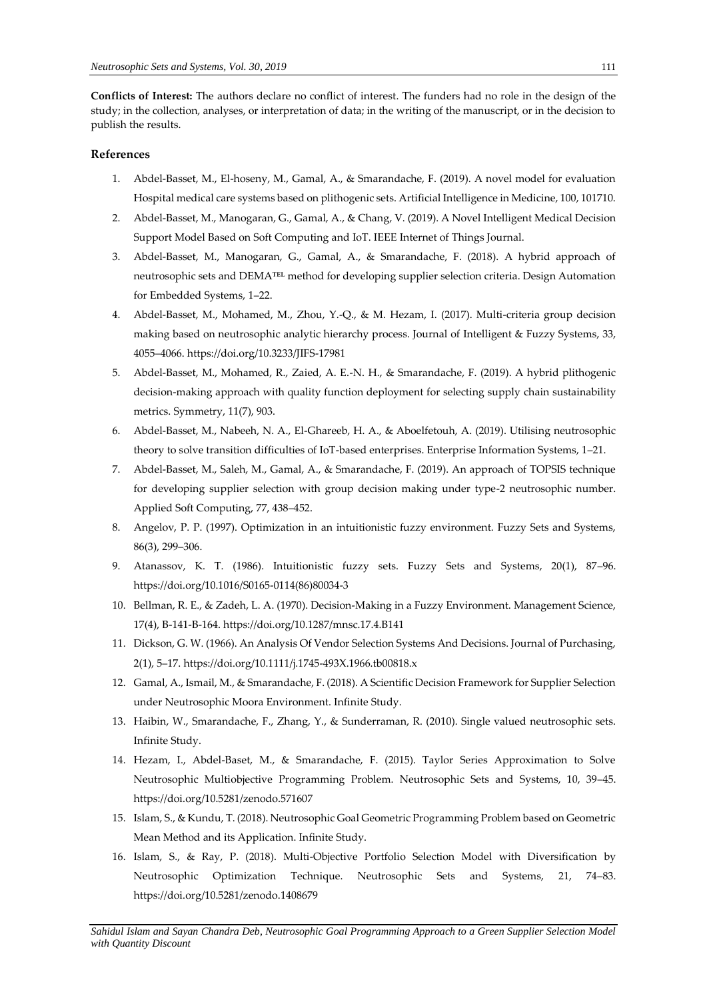**Conflicts of Interest:** The authors declare no conflict of interest. The funders had no role in the design of the study; in the collection, analyses, or interpretation of data; in the writing of the manuscript, or in the decision to publish the results.

## **References**

- 1. Abdel-Basset, M., El-hoseny, M., Gamal, A., & Smarandache, F. (2019). A novel model for evaluation Hospital medical care systems based on plithogenic sets. Artificial Intelligence in Medicine, 100, 101710.
- 2. Abdel-Basset, M., Manogaran, G., Gamal, A., & Chang, V. (2019). A Novel Intelligent Medical Decision Support Model Based on Soft Computing and IoT. IEEE Internet of Things Journal.
- 3. Abdel-Basset, M., Manogaran, G., Gamal, A., & Smarandache, F. (2018). A hybrid approach of neutrosophic sets and DEMA℡ method for developing supplier selection criteria. Design Automation for Embedded Systems, 1–22.
- 4. Abdel-Basset, M., Mohamed, M., Zhou, Y.-Q., & M. Hezam, I. (2017). Multi-criteria group decision making based on neutrosophic analytic hierarchy process. Journal of Intelligent & Fuzzy Systems, 33, 4055–4066. https://doi.org/10.3233/JIFS-17981
- 5. Abdel-Basset, M., Mohamed, R., Zaied, A. E.-N. H., & Smarandache, F. (2019). A hybrid plithogenic decision-making approach with quality function deployment for selecting supply chain sustainability metrics. Symmetry, 11(7), 903.
- 6. Abdel-Basset, M., Nabeeh, N. A., El-Ghareeb, H. A., & Aboelfetouh, A. (2019). Utilising neutrosophic theory to solve transition difficulties of IoT-based enterprises. Enterprise Information Systems, 1–21.
- 7. Abdel-Basset, M., Saleh, M., Gamal, A., & Smarandache, F. (2019). An approach of TOPSIS technique for developing supplier selection with group decision making under type-2 neutrosophic number. Applied Soft Computing, 77, 438–452.
- 8. Angelov, P. P. (1997). Optimization in an intuitionistic fuzzy environment. Fuzzy Sets and Systems, 86(3), 299–306.
- 9. Atanassov, K. T. (1986). Intuitionistic fuzzy sets. Fuzzy Sets and Systems, 20(1), 87–96. https://doi.org/10.1016/S0165-0114(86)80034-3
- 10. Bellman, R. E., & Zadeh, L. A. (1970). Decision-Making in a Fuzzy Environment. Management Science, 17(4), B-141-B-164. https://doi.org/10.1287/mnsc.17.4.B141
- 11. Dickson, G. W. (1966). An Analysis Of Vendor Selection Systems And Decisions. Journal of Purchasing, 2(1), 5–17. https://doi.org/10.1111/j.1745-493X.1966.tb00818.x
- 12. Gamal, A., Ismail, M., & Smarandache, F. (2018). A Scientific Decision Framework for Supplier Selection under Neutrosophic Moora Environment. Infinite Study.
- 13. Haibin, W., Smarandache, F., Zhang, Y., & Sunderraman, R. (2010). Single valued neutrosophic sets. Infinite Study.
- 14. Hezam, I., Abdel-Baset, M., & Smarandache, F. (2015). Taylor Series Approximation to Solve Neutrosophic Multiobjective Programming Problem. Neutrosophic Sets and Systems, 10, 39–45. https://doi.org/10.5281/zenodo.571607
- 15. Islam, S., & Kundu, T. (2018). Neutrosophic Goal Geometric Programming Problem based on Geometric Mean Method and its Application. Infinite Study.
- 16. Islam, S., & Ray, P. (2018). Multi-Objective Portfolio Selection Model with Diversification by Neutrosophic Optimization Technique. Neutrosophic Sets and Systems, 21, 74–83. https://doi.org/10.5281/zenodo.1408679